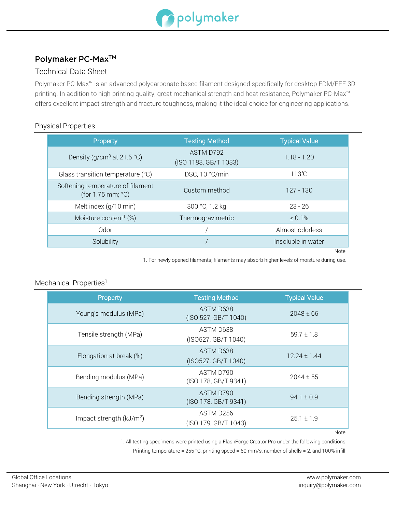

# Polymaker PC-Max™

## Technical Data Sheet

Polymaker PC-Max™ is an advanced polycarbonate based filament designed specifically for desktop FDM/FFF 3D printing. In addition to high printing quality, great mechanical strength and heat resistance, Polymaker PC-Max<sup>™</sup> offers excellent impact strength and fracture toughness, making it the ideal choice for engineering applications.

### Physical Properties

| Property                                               | <b>Testing Method</b>              | <b>Typical Value</b> |
|--------------------------------------------------------|------------------------------------|----------------------|
| Density (g/cm <sup>3</sup> at 21.5 °C)                 | ASTM D792<br>(ISO 1183, GB/T 1033) | $1.18 - 1.20$        |
| Glass transition temperature (°C)                      | DSC, 10 °C/min                     | $113^\circ$ C        |
| Softening temperature of filament<br>(for 1.75 mm; °C) | Custom method                      | $127 - 130$          |
| Melt index (g/10 min)                                  | 300 °C, 1.2 kg                     | $23 - 26$            |
| Moisture content <sup>1</sup> $(\%)$                   | Thermogravimetric                  | $\le 0.1\%$          |
| Odor                                                   |                                    | Almost odorless      |
| Solubility                                             |                                    | Insoluble in water   |
|                                                        |                                    | Note:                |

1. For newly opened filaments; filaments may absorb higher levels of moisture during use.

## Mechanical Properties<sup>1</sup>

| Property                  | <b>Testing Method</b>             | <b>Typical Value</b> |
|---------------------------|-----------------------------------|----------------------|
| Young's modulus (MPa)     | ASTM D638<br>(ISO 527, GB/T 1040) | $2048 \pm 66$        |
| Tensile strength (MPa)    | ASTM D638<br>(ISO527, GB/T 1040)  | $59.7 \pm 1.8$       |
| Elongation at break (%)   | ASTM D638<br>(ISO527, GB/T 1040)  | $12.24 \pm 1.44$     |
| Bending modulus (MPa)     | ASTM D790<br>(ISO 178, GB/T 9341) | $2044 \pm 55$        |
| Bending strength (MPa)    | ASTM D790<br>(ISO 178, GB/T 9341) | $94.1 \pm 0.9$       |
| Impact strength $(kJ/m2)$ | ASTM D256<br>(ISO 179, GB/T 1043) | $25.1 \pm 1.9$       |

Note:

1. All testing specimens were printed using a FlashForge Creator Pro under the following conditions:

Printing temperature = 255 °C, printing speed = 60 mm/s, number of shells = 2, and 100% infill.